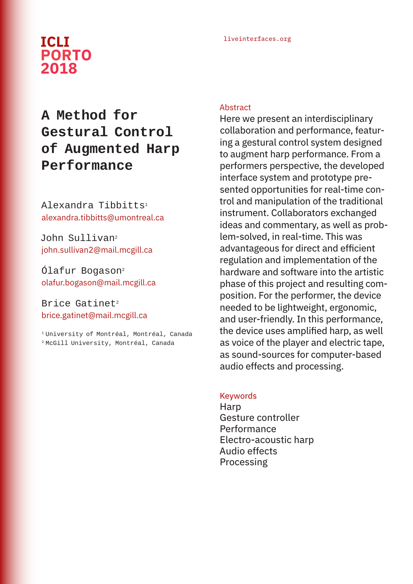## liveinterfaces.org **ICLI PORTO 2018**

# **A Method for Gestural Control of Augmented Harp Performance**

Alexandra Tibbitts1 alexandra.tibbitts@umontreal.ca

John Sullivan<sup>2</sup> john.sullivan2@mail.mcgill.ca

Ólafur Bogason2 olafur.bogason@mail.mcgill.ca

## Brice Gatinet<sup>2</sup> brice.gatinet@mail.mcgill.ca

1 University of Montréal, Montréal, Canada 2 McGill University, Montréal, Canada

#### Abstract

Here we present an interdisciplinary collaboration and performance, featuring a gestural control system designed to augment harp performance. From a performers perspective, the developed interface system and prototype presented opportunities for real-time control and manipulation of the traditional instrument. Collaborators exchanged ideas and commentary, as well as problem-solved, in real-time. This was advantageous for direct and efficient regulation and implementation of the hardware and software into the artistic phase of this project and resulting composition. For the performer, the device needed to be lightweight, ergonomic, and user-friendly. In this performance, the device uses amplified harp, as well as voice of the player and electric tape, as sound-sources for computer-based audio effects and processing.

#### Keywords

Harp Gesture controller **Performance** Electro-acoustic harp Audio effects Processing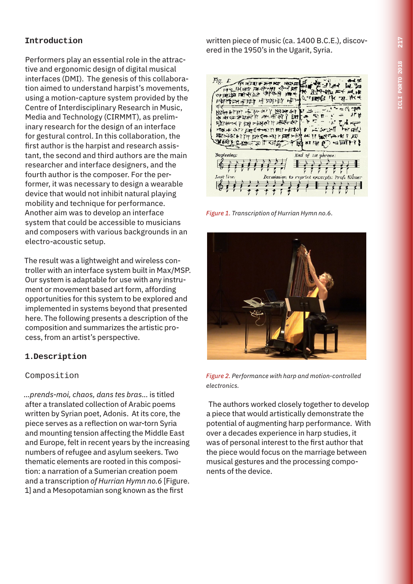## **Introduction**

Performers play an essential role in the attractive and ergonomic design of digital musical interfaces (DMI). The genesis of this collaboration aimed to understand harpist's movements, using a motion-capture system provided by the Centre of Interdisciplinary Research in Music, Media and Technology (CIRMMT), as preliminary research for the design of an interface for gestural control. In this collaboration, the first author is the harpist and research assistant, the second and third authors are the main researcher and interface designers, and the fourth author is the composer. For the performer, it was necessary to design a wearable device that would not inhibit natural playing mobility and technique for performance. Another aim was to develop an interface system that could be accessible to musicians and composers with various backgrounds in an electro-acoustic setup.

The result was a lightweight and wireless controller with an interface system built in Max/MSP. Our system is adaptable for use with any instrument or movement based art form, affording opportunities for this system to be explored and implemented in systems beyond that presented here. The following presents a description of the composition and summarizes the artistic process, from an artist's perspective.

## **1.Description**

## Composition

*...prends-moi, chaos, dans tes bras...* is titled after a translated collection of Arabic poems written by Syrian poet, Adonis. At its core, the piece serves as a reflection on war-torn Syria and mounting tension affecting the Middle East and Europe, felt in recent years by the increasing numbers of refugee and asylum seekers. Two thematic elements are rooted in this composition: a narration of a Sumerian creation poem and a transcription *of Hurrian Hymn no.6* [Figure. 1] and a Mesopotamian song known as the first

written piece of music (ca. 1400 B.C.E.), discovered in the 1950's in the Ugarit, Syria.



*Figure 1. Transcription of Hurrian Hymn no.6.* 



*Figure 2. Performance with harp and motion-controlled electronics.*

The authors worked closely together to develop a piece that would artistically demonstrate the potential of augmenting harp performance. With over a decades experience in harp studies, it was of personal interest to the first author that the piece would focus on the marriage between musical gestures and the processing components of the device.